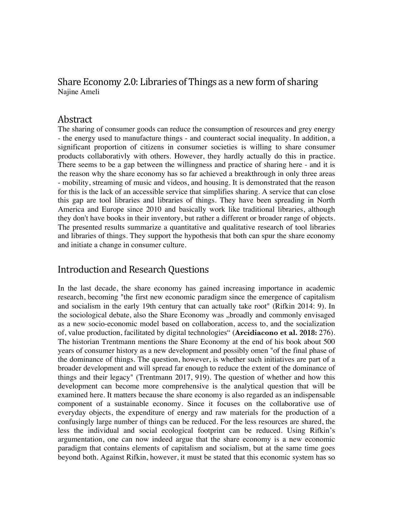### Share Economy 2.0: Libraries of Things as a new form of sharing Najine Ameli

#### Abstract

The sharing of consumer goods can reduce the consumption of resources and grey energy - the energy used to manufacture things - and counteract social inequality. In addition, a significant proportion of citizens in consumer societies is willing to share consumer products collaborativly with others. However, they hardly actually do this in practice. There seems to be a gap between the willingness and practice of sharing here - and it is the reason why the share economy has so far achieved a breakthrough in only three areas - mobility, streaming of music and videos, and housing. It is demonstrated that the reason for this is the lack of an accessible service that simplifies sharing. A service that can close this gap are tool libraries and libraries of things. They have been spreading in North America and Europe since 2010 and basically work like traditional libraries, although they don't have books in their inventory, but rather a different or broader range of objects. The presented results summarize a quantitative and qualitative research of tool libraries and libraries of things. They support the hypothesis that both can spur the share economy and initiate a change in consumer culture.

## Introduction and Research Questions

In the last decade, the share economy has gained increasing importance in academic research, becoming "the first new economic paradigm since the emergence of capitalism and socialism in the early 19th century that can actually take root" (Rifkin 2014: 9). In the sociological debate, also the Share Economy was "broadly and commonly envisaged as a new socio-economic model based on collaboration, access to, and the socialization of, value production, facilitated by digital technologies" (**Arcidiacono et al. 2018:** 276). The historian Trentmann mentions the Share Economy at the end of his book about 500 years of consumer history as a new development and possibly omen "of the final phase of the dominance of things. The question, however, is whether such initiatives are part of a broader development and will spread far enough to reduce the extent of the dominance of things and their legacy" (Trentmann 2017, 919). The question of whether and how this development can become more comprehensive is the analytical question that will be examined here. It matters because the share economy is also regarded as an indispensable component of a sustainable economy. Since it focuses on the collaborative use of everyday objects, the expenditure of energy and raw materials for the production of a confusingly large number of things can be reduced. For the less resources are shared, the less the individual and social ecological footprint can be reduced. Using Rifkin's argumentation, one can now indeed argue that the share economy is a new economic paradigm that contains elements of capitalism and socialism, but at the same time goes beyond both. Against Rifkin, however, it must be stated that this economic system has so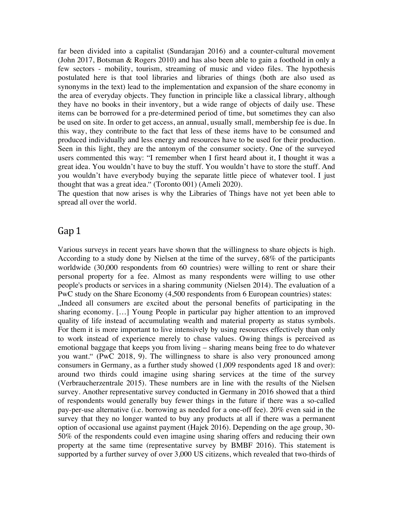far been divided into a capitalist (Sundarajan 2016) and a counter-cultural movement (John 2017, Botsman & Rogers 2010) and has also been able to gain a foothold in only a few sectors - mobility, tourism, streaming of music and video files. The hypothesis postulated here is that tool libraries and libraries of things (both are also used as synonyms in the text) lead to the implementation and expansion of the share economy in the area of everyday objects. They function in principle like a classical library, although they have no books in their inventory, but a wide range of objects of daily use. These items can be borrowed for a pre-determined period of time, but sometimes they can also be used on site. In order to get access, an annual, usually small, membership fee is due. In this way, they contribute to the fact that less of these items have to be consumed and produced individually and less energy and resources have to be used for their production. Seen in this light, they are the antonym of the consumer society. One of the surveyed users commented this way: "I remember when I first heard about it, I thought it was a great idea. You wouldn't have to buy the stuff. You wouldn't have to store the stuff. And you wouldn't have everybody buying the separate little piece of whatever tool. I just thought that was a great idea." (Toronto 001) (Ameli 2020).

The question that now arises is why the Libraries of Things have not yet been able to spread all over the world.

#### Gap 1

Various surveys in recent years have shown that the willingness to share objects is high. According to a study done by Nielsen at the time of the survey, 68% of the participants worldwide (30,000 respondents from 60 countries) were willing to rent or share their personal property for a fee. Almost as many respondents were willing to use other people's products or services in a sharing community (Nielsen 2014). The evaluation of a PwC study on the Share Economy (4,500 respondents from 6 European countries) states: "Indeed all consumers are excited about the personal benefits of participating in the sharing economy. […] Young People in particular pay higher attention to an improved quality of life instead of accumulating wealth and material property as status symbols. For them it is more important to live intensively by using resources effectively than only to work instead of experience merely to chase values. Owing things is perceived as emotional baggage that keeps you from living – sharing means being free to do whatever you want." (PwC 2018, 9). The willingness to share is also very pronounced among consumers in Germany, as a further study showed (1,009 respondents aged 18 and over): around two thirds could imagine using sharing services at the time of the survey (Verbraucherzentrale 2015). These numbers are in line with the results of the Nielsen survey. Another representative survey conducted in Germany in 2016 showed that a third of respondents would generally buy fewer things in the future if there was a so-called pay-per-use alternative (i.e. borrowing as needed for a one-off fee). 20% even said in the survey that they no longer wanted to buy any products at all if there was a permanent option of occasional use against payment (Hajek 2016). Depending on the age group, 30- 50% of the respondents could even imagine using sharing offers and reducing their own property at the same time (representative survey by BMBF 2016). This statement is supported by a further survey of over 3,000 US citizens, which revealed that two-thirds of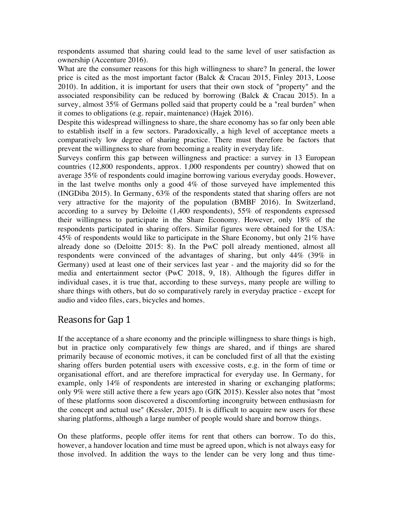respondents assumed that sharing could lead to the same level of user satisfaction as ownership (Accenture 2016).

What are the consumer reasons for this high willingness to share? In general, the lower price is cited as the most important factor (Balck & Cracau 2015, Finley 2013, Loose 2010). In addition, it is important for users that their own stock of "property" and the associated responsibility can be reduced by borrowing (Balck & Cracau 2015). In a survey, almost 35% of Germans polled said that property could be a "real burden" when it comes to obligations (e.g. repair, maintenance) (Hajek 2016).

Despite this widespread willingness to share, the share economy has so far only been able to establish itself in a few sectors. Paradoxically, a high level of acceptance meets a comparatively low degree of sharing practice. There must therefore be factors that prevent the willingness to share from becoming a reality in everyday life.

Surveys confirm this gap between willingness and practice: a survey in 13 European countries (12,800 respondents, approx. 1,000 respondents per country) showed that on average 35% of respondents could imagine borrowing various everyday goods. However, in the last twelve months only a good 4% of those surveyed have implemented this (INGDiba 2015). In Germany, 63% of the respondents stated that sharing offers are not very attractive for the majority of the population (BMBF 2016). In Switzerland, according to a survey by Deloitte (1,400 respondents), 55% of respondents expressed their willingness to participate in the Share Economy. However, only 18% of the respondents participated in sharing offers. Similar figures were obtained for the USA: 45% of respondents would like to participate in the Share Economy, but only 21% have already done so (Deloitte 2015: 8). In the PwC poll already mentioned, almost all respondents were convinced of the advantages of sharing, but only 44% (39% in Germany) used at least one of their services last year - and the majority did so for the media and entertainment sector (PwC 2018, 9, 18). Although the figures differ in individual cases, it is true that, according to these surveys, many people are willing to share things with others, but do so comparatively rarely in everyday practice - except for audio and video files, cars, bicycles and homes.

# Reasons for Gap 1

If the acceptance of a share economy and the principle willingness to share things is high, but in practice only comparatively few things are shared, and if things are shared primarily because of economic motives, it can be concluded first of all that the existing sharing offers burden potential users with excessive costs, e.g. in the form of time or organisational effort, and are therefore impractical for everyday use. In Germany, for example, only 14% of respondents are interested in sharing or exchanging platforms; only 9% were still active there a few years ago (GfK 2015). Kessler also notes that "most of these platforms soon discovered a discomforting incongruity between enthusiasm for the concept and actual use" (Kessler, 2015). It is difficult to acquire new users for these sharing platforms, although a large number of people would share and borrow things.

On these platforms, people offer items for rent that others can borrow. To do this, however, a handover location and time must be agreed upon, which is not always easy for those involved. In addition the ways to the lender can be very long and thus time-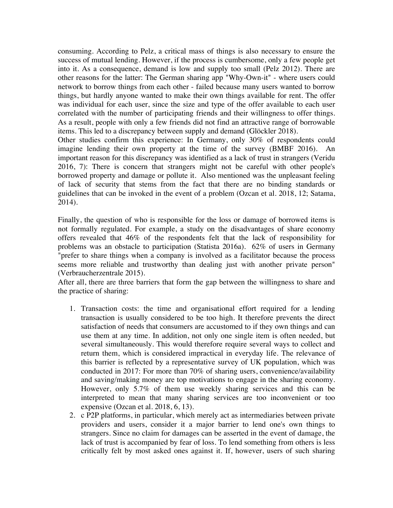consuming. According to Pelz, a critical mass of things is also necessary to ensure the success of mutual lending. However, if the process is cumbersome, only a few people get into it. As a consequence, demand is low and supply too small (Pelz 2012). There are other reasons for the latter: The German sharing app "Why-Own-it" - where users could network to borrow things from each other - failed because many users wanted to borrow things, but hardly anyone wanted to make their own things available for rent. The offer was individual for each user, since the size and type of the offer available to each user correlated with the number of participating friends and their willingness to offer things. As a result, people with only a few friends did not find an attractive range of borrowable items. This led to a discrepancy between supply and demand (Glöckler 2018).

Other studies confirm this experience: In Germany, only 30% of respondents could imagine lending their own property at the time of the survey (BMBF 2016). An important reason for this discrepancy was identified as a lack of trust in strangers (Veridu 2016, 7): There is concern that strangers might not be careful with other people's borrowed property and damage or pollute it. Also mentioned was the unpleasant feeling of lack of security that stems from the fact that there are no binding standards or guidelines that can be invoked in the event of a problem (Ozcan et al. 2018, 12; Satama, 2014).

Finally, the question of who is responsible for the loss or damage of borrowed items is not formally regulated. For example, a study on the disadvantages of share economy offers revealed that 46% of the respondents felt that the lack of responsibility for problems was an obstacle to participation (Statista 2016a). 62% of users in Germany "prefer to share things when a company is involved as a facilitator because the process seems more reliable and trustworthy than dealing just with another private person" (Verbraucherzentrale 2015).

After all, there are three barriers that form the gap between the willingness to share and the practice of sharing:

- 1. Transaction costs: the time and organisational effort required for a lending transaction is usually considered to be too high. It therefore prevents the direct satisfaction of needs that consumers are accustomed to if they own things and can use them at any time. In addition, not only one single item is often needed, but several simultaneously. This would therefore require several ways to collect and return them, which is considered impractical in everyday life. The relevance of this barrier is reflected by a representative survey of UK population, which was conducted in 2017: For more than 70% of sharing users, convenience/availability and saving/making money are top motivations to engage in the sharing economy. However, only 5.7% of them use weekly sharing services and this can be interpreted to mean that many sharing services are too inconvenient or too expensive (Ozcan et al. 2018, 6, 13).
- 2. c P2P platforms, in particular, which merely act as intermediaries between private providers and users, consider it a major barrier to lend one's own things to strangers. Since no claim for damages can be asserted in the event of damage, the lack of trust is accompanied by fear of loss. To lend something from others is less critically felt by most asked ones against it. If, however, users of such sharing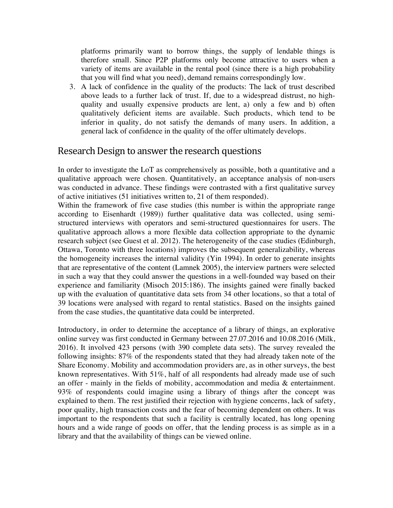platforms primarily want to borrow things, the supply of lendable things is therefore small. Since P2P platforms only become attractive to users when a variety of items are available in the rental pool (since there is a high probability that you will find what you need), demand remains correspondingly low.

3. A lack of confidence in the quality of the products: The lack of trust described above leads to a further lack of trust. If, due to a widespread distrust, no highquality and usually expensive products are lent, a) only a few and b) often qualitatively deficient items are available. Such products, which tend to be inferior in quality, do not satisfy the demands of many users. In addition, a general lack of confidence in the quality of the offer ultimately develops.

### Research Design to answer the research questions

In order to investigate the LoT as comprehensively as possible, both a quantitative and a qualitative approach were chosen. Quantitatively, an acceptance analysis of non-users was conducted in advance. These findings were contrasted with a first qualitative survey of active initiatives (51 initiatives written to, 21 of them responded).

Within the framework of five case studies (this number is within the appropriate range according to Eisenhardt (1989)) further qualitative data was collected, using semistructured interviews with operators and semi-structured questionnaires for users. The qualitative approach allows a more flexible data collection appropriate to the dynamic research subject (see Guest et al. 2012). The heterogeneity of the case studies (Edinburgh, Ottawa, Toronto with three locations) improves the subsequent generalizability, whereas the homogeneity increases the internal validity (Yin 1994). In order to generate insights that are representative of the content (Lamnek 2005), the interview partners were selected in such a way that they could answer the questions in a well-founded way based on their experience and familiarity (Misoch 2015:186). The insights gained were finally backed up with the evaluation of quantitative data sets from 34 other locations, so that a total of 39 locations were analysed with regard to rental statistics. Based on the insights gained from the case studies, the quantitative data could be interpreted.

Introductory, in order to determine the acceptance of a library of things, an explorative online survey was first conducted in Germany between 27.07.2016 and 10.08.2016 (Milk, 2016). It involved 423 persons (with 390 complete data sets). The survey revealed the following insights: 87% of the respondents stated that they had already taken note of the Share Economy. Mobility and accommodation providers are, as in other surveys, the best known representatives. With 51%, half of all respondents had already made use of such an offer - mainly in the fields of mobility, accommodation and media  $\&$  entertainment. 93% of respondents could imagine using a library of things after the concept was explained to them. The rest justified their rejection with hygiene concerns, lack of safety, poor quality, high transaction costs and the fear of becoming dependent on others. It was important to the respondents that such a facility is centrally located, has long opening hours and a wide range of goods on offer, that the lending process is as simple as in a library and that the availability of things can be viewed online.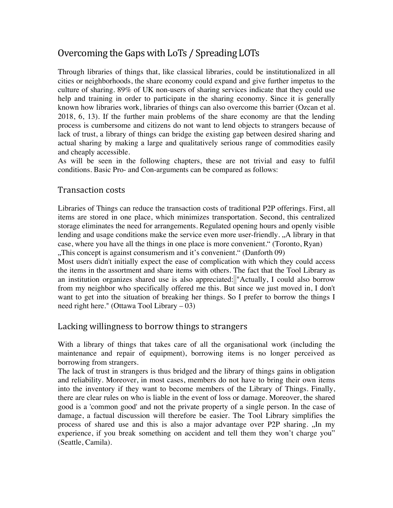# Overcoming the Gaps with LoTs / Spreading LOTs

Through libraries of things that, like classical libraries, could be institutionalized in all cities or neighborhoods, the share economy could expand and give further impetus to the culture of sharing. 89% of UK non-users of sharing services indicate that they could use help and training in order to participate in the sharing economy. Since it is generally known how libraries work, libraries of things can also overcome this barrier (Ozcan et al. 2018, 6, 13). If the further main problems of the share economy are that the lending process is cumbersome and citizens do not want to lend objects to strangers because of lack of trust, a library of things can bridge the existing gap between desired sharing and actual sharing by making a large and qualitatively serious range of commodities easily and cheaply accessible.

As will be seen in the following chapters, these are not trivial and easy to fulfil conditions. Basic Pro- and Con-arguments can be compared as follows:

#### Transaction costs

Libraries of Things can reduce the transaction costs of traditional P2P offerings. First, all items are stored in one place, which minimizes transportation. Second, this centralized storage eliminates the need for arrangements. Regulated opening hours and openly visible lending and usage conditions make the service even more user-friendly. "A library in that case, where you have all the things in one place is more convenient." (Toronto, Ryan) "This concept is against consumerism and it's convenient." (Danforth 09),

Most users didn't initially expect the ease of complication with which they could access the items in the assortment and share items with others. The fact that the Tool Library as an institution organizes shared use is also appreciated: "Actually, I could also borrow from my neighbor who specifically offered me this. But since we just moved in, I don't want to get into the situation of breaking her things. So I prefer to borrow the things I need right here." (Ottawa Tool Library – 03)

#### Lacking willingness to borrow things to strangers

With a library of things that takes care of all the organisational work (including the maintenance and repair of equipment), borrowing items is no longer perceived as borrowing from strangers.

The lack of trust in strangers is thus bridged and the library of things gains in obligation and reliability. Moreover, in most cases, members do not have to bring their own items into the inventory if they want to become members of the Library of Things. Finally, there are clear rules on who is liable in the event of loss or damage. Moreover, the shared good is a 'common good' and not the private property of a single person. In the case of damage, a factual discussion will therefore be easier. The Tool Library simplifies the process of shared use and this is also a major advantage over P2P sharing. "In my experience, if you break something on accident and tell them they won't charge you" (Seattle, Camila).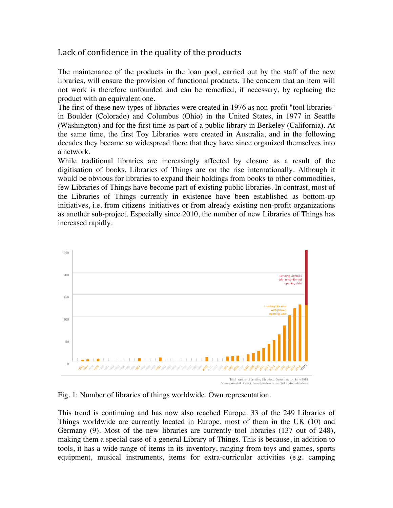### Lack of confidence in the quality of the products

The maintenance of the products in the loan pool, carried out by the staff of the new libraries, will ensure the provision of functional products. The concern that an item will not work is therefore unfounded and can be remedied, if necessary, by replacing the product with an equivalent one.

The first of these new types of libraries were created in 1976 as non-profit "tool libraries" in Boulder (Colorado) and Columbus (Ohio) in the United States, in 1977 in Seattle (Washington) and for the first time as part of a public library in Berkeley (California). At the same time, the first Toy Libraries were created in Australia, and in the following decades they became so widespread there that they have since organized themselves into a network.

While traditional libraries are increasingly affected by closure as a result of the digitisation of books, Libraries of Things are on the rise internationally. Although it would be obvious for libraries to expand their holdings from books to other commodities, few Libraries of Things have become part of existing public libraries. In contrast, most of the Libraries of Things currently in existence have been established as bottom-up initiatives, i.e. from citizens' initiatives or from already existing non-profit organizations as another sub-project. Especially since 2010, the number of new Libraries of Things has increased rapidly.



Fig. 1: Number of libraries of things worldwide. Own representation.

This trend is continuing and has now also reached Europe. 33 of the 249 Libraries of Things worldwide are currently located in Europe, most of them in the UK (10) and Germany (9). Most of the new libraries are currently tool libraries (137 out of 248), making them a special case of a general Library of Things. This is because, in addition to tools, it has a wide range of items in its inventory, ranging from toys and games, sports equipment, musical instruments, items for extra-curricular activities (e.g. camping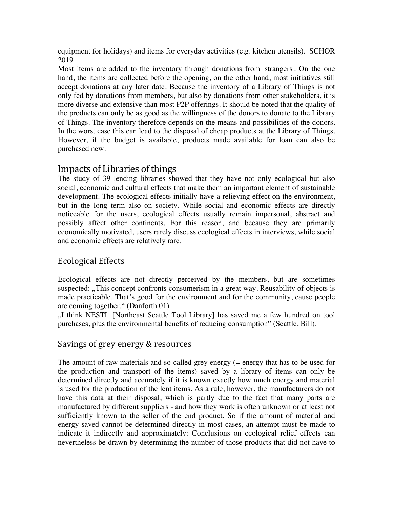equipment for holidays) and items for everyday activities (e.g. kitchen utensils). SCHOR 2019

Most items are added to the inventory through donations from 'strangers'. On the one hand, the items are collected before the opening, on the other hand, most initiatives still accept donations at any later date. Because the inventory of a Library of Things is not only fed by donations from members, but also by donations from other stakeholders, it is more diverse and extensive than most P2P offerings. It should be noted that the quality of the products can only be as good as the willingness of the donors to donate to the Library of Things. The inventory therefore depends on the means and possibilities of the donors. In the worst case this can lead to the disposal of cheap products at the Library of Things. However, if the budget is available, products made available for loan can also be purchased new.

### Impacts of Libraries of things

The study of 39 lending libraries showed that they have not only ecological but also social, economic and cultural effects that make them an important element of sustainable development. The ecological effects initially have a relieving effect on the environment, but in the long term also on society. While social and economic effects are directly noticeable for the users, ecological effects usually remain impersonal, abstract and possibly affect other continents. For this reason, and because they are primarily economically motivated, users rarely discuss ecological effects in interviews, while social and economic effects are relatively rare.

### Ecological Effects

Ecological effects are not directly perceived by the members, but are sometimes suspected: "This concept confronts consumerism in a great way. Reusability of objects is made practicable. That's good for the environment and for the community, cause people are coming together." (Danforth 01)

"I think NESTL [Northeast Seattle Tool Library] has saved me a few hundred on tool purchases, plus the environmental benefits of reducing consumption" (Seattle, Bill).

### Savings of grey energy & resources

The amount of raw materials and so-called grey energy (= energy that has to be used for the production and transport of the items) saved by a library of items can only be determined directly and accurately if it is known exactly how much energy and material is used for the production of the lent items. As a rule, however, the manufacturers do not have this data at their disposal, which is partly due to the fact that many parts are manufactured by different suppliers - and how they work is often unknown or at least not sufficiently known to the seller of the end product. So if the amount of material and energy saved cannot be determined directly in most cases, an attempt must be made to indicate it indirectly and approximately: Conclusions on ecological relief effects can nevertheless be drawn by determining the number of those products that did not have to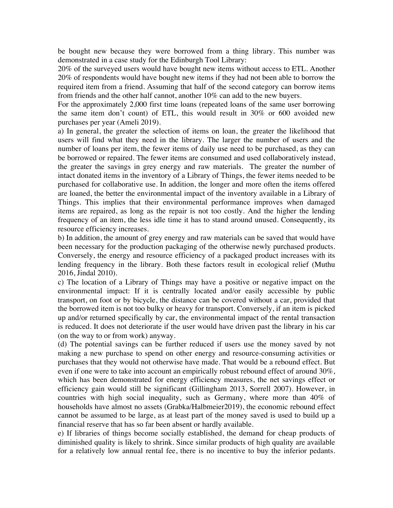be bought new because they were borrowed from a thing library. This number was demonstrated in a case study for the Edinburgh Tool Library:

20% of the surveyed users would have bought new items without access to ETL. Another 20% of respondents would have bought new items if they had not been able to borrow the required item from a friend. Assuming that half of the second category can borrow items from friends and the other half cannot, another 10% can add to the new buyers.

For the approximately 2,000 first time loans (repeated loans of the same user borrowing the same item don't count) of ETL, this would result in 30% or 600 avoided new purchases per year (Ameli 2019).

a) In general, the greater the selection of items on loan, the greater the likelihood that users will find what they need in the library. The larger the number of users and the number of loans per item, the fewer items of daily use need to be purchased, as they can be borrowed or repaired. The fewer items are consumed and used collaboratively instead, the greater the savings in grey energy and raw materials. The greater the number of intact donated items in the inventory of a Library of Things, the fewer items needed to be purchased for collaborative use. In addition, the longer and more often the items offered are loaned, the better the environmental impact of the inventory available in a Library of Things. This implies that their environmental performance improves when damaged items are repaired, as long as the repair is not too costly. And the higher the lending frequency of an item, the less idle time it has to stand around unused. Consequently, its resource efficiency increases.

b) In addition, the amount of grey energy and raw materials can be saved that would have been necessary for the production packaging of the otherwise newly purchased products. Conversely, the energy and resource efficiency of a packaged product increases with its lending frequency in the library. Both these factors result in ecological relief (Muthu 2016, Jindal 2010).

c) The location of a Library of Things may have a positive or negative impact on the environmental impact: If it is centrally located and/or easily accessible by public transport, on foot or by bicycle, the distance can be covered without a car, provided that the borrowed item is not too bulky or heavy for transport. Conversely, if an item is picked up and/or returned specifically by car, the environmental impact of the rental transaction is reduced. It does not deteriorate if the user would have driven past the library in his car (on the way to or from work) anyway.

(d) The potential savings can be further reduced if users use the money saved by not making a new purchase to spend on other energy and resource-consuming activities or purchases that they would not otherwise have made. That would be a rebound effect. But even if one were to take into account an empirically robust rebound effect of around 30%, which has been demonstrated for energy efficiency measures, the net savings effect or efficiency gain would still be significant (Gillingham 2013, Sorrell 2007). However, in countries with high social inequality, such as Germany, where more than 40% of households have almost no assets (Grabka/Halbmeier2019), the economic rebound effect cannot be assumed to be large, as at least part of the money saved is used to build up a financial reserve that has so far been absent or hardly available.

e) If libraries of things become socially established, the demand for cheap products of diminished quality is likely to shrink. Since similar products of high quality are available for a relatively low annual rental fee, there is no incentive to buy the inferior pedants.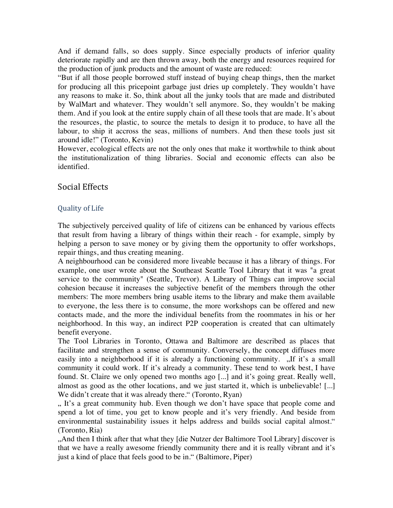And if demand falls, so does supply. Since especially products of inferior quality deteriorate rapidly and are then thrown away, both the energy and resources required for the production of junk products and the amount of waste are reduced:

"But if all those people borrowed stuff instead of buying cheap things, then the market for producing all this pricepoint garbage just dries up completely. They wouldn't have any reasons to make it. So, think about all the junky tools that are made and distributed by WalMart and whatever. They wouldn't sell anymore. So, they wouldn't be making them. And if you look at the entire supply chain of all these tools that are made. It's about the resources, the plastic, to source the metals to design it to produce, to have all the labour, to ship it accross the seas, millions of numbers. And then these tools just sit around idle!" (Toronto, Kevin)

However, ecological effects are not the only ones that make it worthwhile to think about the institutionalization of thing libraries. Social and economic effects can also be identified.

#### Social Effects

#### Quality of Life

The subjectively perceived quality of life of citizens can be enhanced by various effects that result from having a library of things within their reach - for example, simply by helping a person to save money or by giving them the opportunity to offer workshops, repair things, and thus creating meaning.

A neighbourhood can be considered more liveable because it has a library of things. For example, one user wrote about the Southeast Seattle Tool Library that it was "a great service to the community" (Seattle, Trevor). A Library of Things can improve social cohesion because it increases the subjective benefit of the members through the other members: The more members bring usable items to the library and make them available to everyone, the less there is to consume, the more workshops can be offered and new contacts made, and the more the individual benefits from the roommates in his or her neighborhood. In this way, an indirect P2P cooperation is created that can ultimately benefit everyone.

The Tool Libraries in Toronto, Ottawa and Baltimore are described as places that facilitate and strengthen a sense of community. Conversely, the concept diffuses more easily into a neighborhood if it is already a functioning community. "If it's a small community it could work. If it's already a community. These tend to work best, I have found. St. Claire we only opened two months ago [...] and it's going great. Really well, almost as good as the other locations, and we just started it, which is unbelievable! [...] We didn't create that it was already there." (Toronto, Ryan)

". It's a great community hub. Even though we don't have space that people come and spend a lot of time, you get to know people and it's very friendly. And beside from environmental sustainability issues it helps address and builds social capital almost." (Toronto, Ria)

"And then I think after that what they [die Nutzer der Baltimore Tool Library] discover is that we have a really awesome friendly community there and it is really vibrant and it's just a kind of place that feels good to be in." (Baltimore, Piper)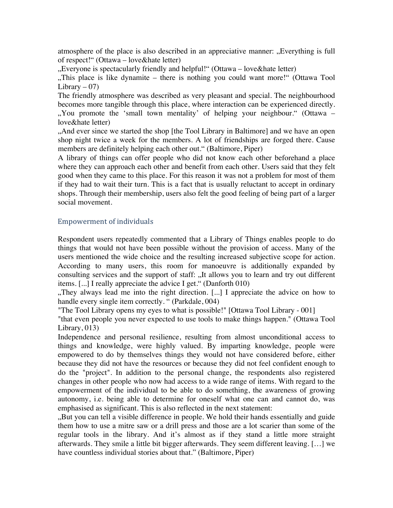atmosphere of the place is also described in an appreciative manner: "Everything is full of respect!" (Ottawa – love&hate letter)

"Everyone is spectacularly friendly and helpful!" (Ottawa – love&hate letter)

"This place is like dynamite – there is nothing you could want more!" (Ottawa Tool Library  $-07$ )

The friendly atmosphere was described as very pleasant and special. The neighbourhood becomes more tangible through this place, where interaction can be experienced directly. ", You promote the 'small town mentality' of helping your neighbour." (Ottawa – love&hate letter)

"And ever since we started the shop [the Tool Library in Baltimore] and we have an open shop night twice a week for the members. A lot of friendships are forged there. Cause members are definitely helping each other out." (Baltimore, Piper)

A library of things can offer people who did not know each other beforehand a place where they can approach each other and benefit from each other. Users said that they felt good when they came to this place. For this reason it was not a problem for most of them if they had to wait their turn. This is a fact that is usually reluctant to accept in ordinary shops. Through their membership, users also felt the good feeling of being part of a larger social movement.

#### Empowerment of individuals

Respondent users repeatedly commented that a Library of Things enables people to do things that would not have been possible without the provision of access. Many of the users mentioned the wide choice and the resulting increased subjective scope for action. According to many users, this room for manoeuvre is additionally expanded by consulting services and the support of staff: "It allows you to learn and try out different items. [...] I really appreciate the advice I get." (Danforth 010)

"They always lead me into the right direction.  $[\dots]$  I appreciate the advice on how to handle every single item correctly. " (Parkdale, 004)

"The Tool Library opens my eyes to what is possible!" [Ottawa Tool Library - 001]

"that even people you never expected to use tools to make things happen." (Ottawa Tool Library, 013)

Independence and personal resilience, resulting from almost unconditional access to things and knowledge, were highly valued. By imparting knowledge, people were empowered to do by themselves things they would not have considered before, either because they did not have the resources or because they did not feel confident enough to do the "project". In addition to the personal change, the respondents also registered changes in other people who now had access to a wide range of items. With regard to the empowerment of the individual to be able to do something, the awareness of growing autonomy, i.e. being able to determine for oneself what one can and cannot do, was emphasised as significant. This is also reflected in the next statement:

"But you can tell a visible difference in people. We hold their hands essentially and guide them how to use a mitre saw or a drill press and those are a lot scarier than some of the regular tools in the library. And it's almost as if they stand a little more straight afterwards. They smile a little bit bigger afterwards. They seem different leaving. […] we have countless individual stories about that." (Baltimore, Piper)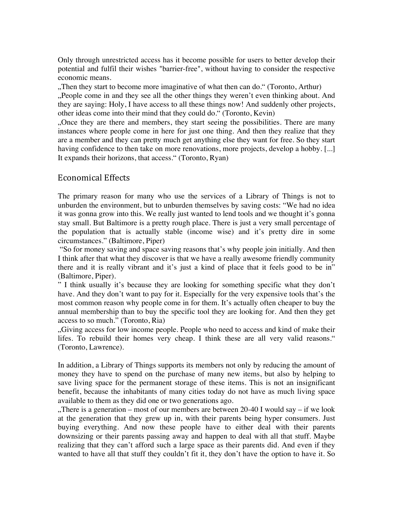Only through unrestricted access has it become possible for users to better develop their potential and fulfil their wishes "barrier-free", without having to consider the respective economic means.

"Then they start to become more imaginative of what then can do." (Toronto, Arthur), ...People come in and they see all the other things they weren't even thinking about. And they are saying: Holy, I have access to all these things now! And suddenly other projects, other ideas come into their mind that they could do." (Toronto, Kevin)

"Once they are there and members, they start seeing the possibilities. There are many instances where people come in here for just one thing. And then they realize that they are a member and they can pretty much get anything else they want for free. So they start having confidence to then take on more renovations, more projects, develop a hobby. [...] It expands their horizons, that access." (Toronto, Ryan)

#### Economical Effects

The primary reason for many who use the services of a Library of Things is not to unburden the environment, but to unburden themselves by saving costs: "We had no idea it was gonna grow into this. We really just wanted to lend tools and we thought it's gonna stay small. But Baltimore is a pretty rough place. There is just a very small percentage of the population that is actually stable (income wise) and it's pretty dire in some circumstances." (Baltimore, Piper)

"So for money saving and space saving reasons that's why people join initially. And then I think after that what they discover is that we have a really awesome friendly community there and it is really vibrant and it's just a kind of place that it feels good to be in" (Baltimore, Piper).

" I think usually it's because they are looking for something specific what they don't have. And they don't want to pay for it. Especially for the very expensive tools that's the most common reason why people come in for them. It's actually often cheaper to buy the annual membership than to buy the specific tool they are looking for. And then they get access to so much." (Toronto, Ria)

"Giving access for low income people. People who need to access and kind of make their lifes. To rebuild their homes very cheap. I think these are all very valid reasons." (Toronto, Lawrence).

In addition, a Library of Things supports its members not only by reducing the amount of money they have to spend on the purchase of many new items, but also by helping to save living space for the permanent storage of these items. This is not an insignificant benefit, because the inhabitants of many cities today do not have as much living space available to them as they did one or two generations ago.

"There is a generation – most of our members are between 20-40 I would say – if we look at the generation that they grew up in, with their parents being hyper consumers. Just buying everything. And now these people have to either deal with their parents downsizing or their parents passing away and happen to deal with all that stuff. Maybe realizing that they can't afford such a large space as their parents did. And even if they wanted to have all that stuff they couldn't fit it, they don't have the option to have it. So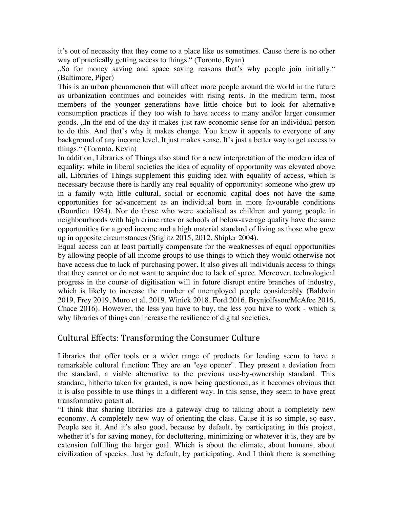it's out of necessity that they come to a place like us sometimes. Cause there is no other way of practically getting access to things." (Toronto, Ryan)

"So for money saving and space saving reasons that's why people join initially." (Baltimore, Piper)

This is an urban phenomenon that will affect more people around the world in the future as urbanization continues and coincides with rising rents. In the medium term, most members of the younger generations have little choice but to look for alternative consumption practices if they too wish to have access to many and/or larger consumer goods. "In the end of the day it makes just raw economic sense for an individual person to do this. And that's why it makes change. You know it appeals to everyone of any background of any income level. It just makes sense. It's just a better way to get access to things." (Toronto, Kevin)

In addition, Libraries of Things also stand for a new interpretation of the modern idea of equality: while in liberal societies the idea of equality of opportunity was elevated above all, Libraries of Things supplement this guiding idea with equality of access, which is necessary because there is hardly any real equality of opportunity: someone who grew up in a family with little cultural, social or economic capital does not have the same opportunities for advancement as an individual born in more favourable conditions (Bourdieu 1984). Nor do those who were socialised as children and young people in neighbourhoods with high crime rates or schools of below-average quality have the same opportunities for a good income and a high material standard of living as those who grew up in opposite circumstances (Stiglitz 2015, 2012, Shipler 2004).

Equal access can at least partially compensate for the weaknesses of equal opportunities by allowing people of all income groups to use things to which they would otherwise not have access due to lack of purchasing power. It also gives all individuals access to things that they cannot or do not want to acquire due to lack of space. Moreover, technological progress in the course of digitisation will in future disrupt entire branches of industry, which is likely to increase the number of unemployed people considerably (Baldwin 2019, Frey 2019, Muro et al. 2019, Winick 2018, Ford 2016, Brynjolfsson/McAfee 2016, Chace 2016). However, the less you have to buy, the less you have to work - which is why libraries of things can increase the resilience of digital societies.

### Cultural Effects: Transforming the Consumer Culture

Libraries that offer tools or a wider range of products for lending seem to have a remarkable cultural function: They are an "eye opener". They present a deviation from the standard, a viable alternative to the previous use-by-ownership standard. This standard, hitherto taken for granted, is now being questioned, as it becomes obvious that it is also possible to use things in a different way. In this sense, they seem to have great transformative potential.

"I think that sharing libraries are a gateway drug to talking about a completely new economy. A completely new way of orienting the class. Cause it is so simple, so easy. People see it. And it's also good, because by default, by participating in this project, whether it's for saving money, for decluttering, minimizing or whatever it is, they are by extension fulfilling the larger goal. Which is about the climate, about humans, about civilization of species. Just by default, by participating. And I think there is something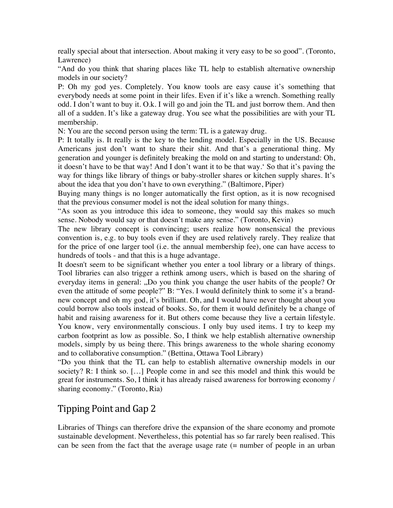really special about that intersection. About making it very easy to be so good". (Toronto, Lawrence)

"And do you think that sharing places like TL help to establish alternative ownership models in our society?

P: Oh my god yes. Completely. You know tools are easy cause it's something that everybody needs at some point in their lifes. Even if it's like a wrench. Something really odd. I don't want to buy it. O.k. I will go and join the TL and just borrow them. And then all of a sudden. It's like a gateway drug. You see what the possibilities are with your TL membership.

N: You are the second person using the term: TL is a gateway drug.

P: It totally is. It really is the key to the lending model. Especially in the US. Because Americans just don't want to share their shit. And that's a generational thing. My generation and younger is definitely breaking the mold on and starting to understand: Oh, it doesn't have to be that way! And I don't want it to be that way.' So that it's paving the way for things like library of things or baby-stroller shares or kitchen supply shares. It's about the idea that you don't have to own everything." (Baltimore, Piper)

Buying many things is no longer automatically the first option, as it is now recognised that the previous consumer model is not the ideal solution for many things.

"As soon as you introduce this idea to someone, they would say this makes so much sense. Nobody would say or that doesn't make any sense." (Toronto, Kevin)

The new library concept is convincing; users realize how nonsensical the previous convention is, e.g. to buy tools even if they are used relatively rarely. They realize that for the price of one larger tool (i.e. the annual membership fee), one can have access to hundreds of tools - and that this is a huge advantage.

It doesn't seem to be significant whether you enter a tool library or a library of things. Tool libraries can also trigger a rethink among users, which is based on the sharing of everyday items in general: "Do you think you change the user habits of the people? Or even the attitude of some people?" B: "Yes. I would definitely think to some it's a brandnew concept and oh my god, it's brilliant. Oh, and I would have never thought about you could borrow also tools instead of books. So, for them it would definitely be a change of habit and raising awareness for it. But others come because they live a certain lifestyle. You know, very environmentally conscious. I only buy used items. I try to keep my carbon footprint as low as possible. So, I think we help establish alternative ownership models, simply by us being there. This brings awareness to the whole sharing economy and to collaborative consumption." (Bettina, Ottawa Tool Library)

"Do you think that the TL can help to establish alternative ownership models in our society? R: I think so. […] People come in and see this model and think this would be great for instruments. So, I think it has already raised awareness for borrowing economy / sharing economy." (Toronto, Ria)

# Tipping Point and Gap 2

Libraries of Things can therefore drive the expansion of the share economy and promote sustainable development. Nevertheless, this potential has so far rarely been realised. This can be seen from the fact that the average usage rate (= number of people in an urban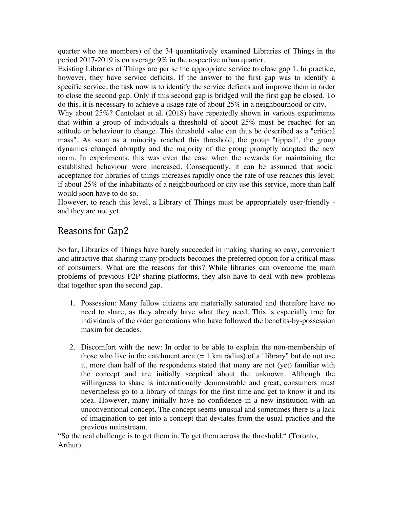quarter who are members) of the 34 quantitatively examined Libraries of Things in the period 2017-2019 is on average 9% in the respective urban quarter.

Existing Libraries of Things are per se the appropriate service to close gap 1. In practice, however, they have service deficits. If the answer to the first gap was to identify a specific service, the task now is to identify the service deficits and improve them in order to close the second gap. Only if this second gap is bridged will the first gap be closed. To do this, it is necessary to achieve a usage rate of about 25% in a neighbourhood or city.

Why about 25%? Centolaet et al. (2018) have repeatedly shown in various experiments that within a group of individuals a threshold of about 25% must be reached for an attitude or behaviour to change. This threshold value can thus be described as a "critical mass". As soon as a minority reached this threshold, the group "tipped", the group dynamics changed abruptly and the majority of the group promptly adopted the new norm. In experiments, this was even the case when the rewards for maintaining the established behaviour were increased. Consequently, it can be assumed that social acceptance for libraries of things increases rapidly once the rate of use reaches this level: if about 25% of the inhabitants of a neighbourhood or city use this service, more than half would soon have to do so.

However, to reach this level, a Library of Things must be appropriately user-friendly and they are not yet.

# Reasons for Gap2

So far, Libraries of Things have barely succeeded in making sharing so easy, convenient and attractive that sharing many products becomes the preferred option for a critical mass of consumers. What are the reasons for this? While libraries can overcome the main problems of previous P2P sharing platforms, they also have to deal with new problems that together span the second gap.

- 1. Possession: Many fellow citizens are materially saturated and therefore have no need to share, as they already have what they need. This is especially true for individuals of the older generations who have followed the benefits-by-possession maxim for decades.
- 2. Discomfort with the new: In order to be able to explain the non-membership of those who live in the catchment area  $(= 1 \text{ km} \text{ radius})$  of a "library" but do not use it, more than half of the respondents stated that many are not (yet) familiar with the concept and are initially sceptical about the unknown. Although the willingness to share is internationally demonstrable and great, consumers must nevertheless go to a library of things for the first time and get to know it and its idea. However, many initially have no confidence in a new institution with an unconventional concept. The concept seems unusual and sometimes there is a lack of imagination to get into a concept that deviates from the usual practice and the previous mainstream.

"So the real challenge is to get them in. To get them across the threshold." (Toronto, Arthur)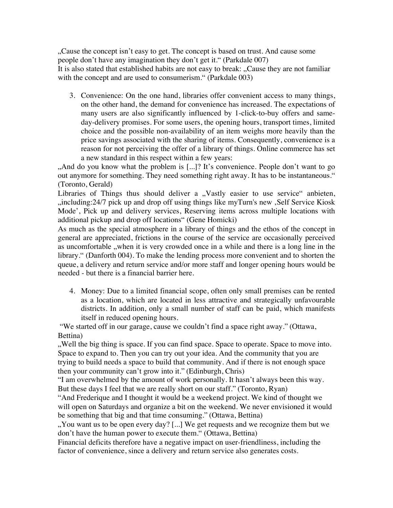"Cause the concept isn't easy to get. The concept is based on trust. And cause some people don't have any imagination they don't get it." (Parkdale 007) It is also stated that established habits are not easy to break: "Cause they are not familiar with the concept and are used to consumerism." (Parkdale 003)

3. Convenience: On the one hand, libraries offer convenient access to many things, on the other hand, the demand for convenience has increased. The expectations of many users are also significantly influenced by 1-click-to-buy offers and sameday-delivery promises. For some users, the opening hours, transport times, limited choice and the possible non-availability of an item weighs more heavily than the price savings associated with the sharing of items. Consequently, convenience is a reason for not perceiving the offer of a library of things. Online commerce has set a new standard in this respect within a few years:

"And do you know what the problem is [...]? It's convenience. People don't want to go out anymore for something. They need something right away. It has to be instantaneous." (Toronto, Gerald)

Libraries of Things thus should deliver a "Vastly easier to use service" anbieten, "including:24/7 pick up and drop off using things like myTurn's new , Self Service Kiosk Mode', Pick up and delivery services, Reserving items across multiple locations with additional pickup and drop off locations" (Gene Homicki)

As much as the special atmosphere in a library of things and the ethos of the concept in general are appreciated, frictions in the course of the service are occasionally perceived as uncomfortable , when it is very crowded once in a while and there is a long line in the library." (Danforth 004). To make the lending process more convenient and to shorten the queue, a delivery and return service and/or more staff and longer opening hours would be needed - but there is a financial barrier here.

4. Money: Due to a limited financial scope, often only small premises can be rented as a location, which are located in less attractive and strategically unfavourable districts. In addition, only a small number of staff can be paid, which manifests itself in reduced opening hours.

"We started off in our garage, cause we couldn't find a space right away." (Ottawa, Bettina)

", Well the big thing is space. If you can find space. Space to operate. Space to move into. Space to expand to. Then you can try out your idea. And the community that you are trying to build needs a space to build that community. And if there is not enough space then your community can't grow into it." (Edinburgh, Chris)

"I am overwhelmed by the amount of work personally. It hasn't always been this way. But these days I feel that we are really short on our staff." (Toronto, Ryan)

"And Frederique and I thought it would be a weekend project. We kind of thought we will open on Saturdays and organize a bit on the weekend. We never envisioned it would be something that big and that time consuming." (Ottawa, Bettina)

". You want us to be open every day? [...] We get requests and we recognize them but we don't have the human power to execute them." (Ottawa, Bettina)

Financial deficits therefore have a negative impact on user-friendliness, including the factor of convenience, since a delivery and return service also generates costs.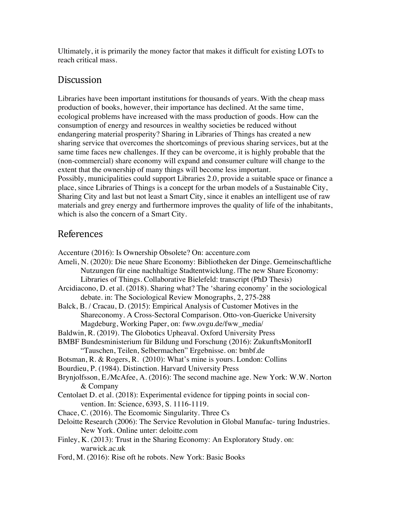Ultimately, it is primarily the money factor that makes it difficult for existing LOTs to reach critical mass.

### **Discussion**

Libraries have been important institutions for thousands of years. With the cheap mass production of books, however, their importance has declined. At the same time, ecological problems have increased with the mass production of goods. How can the consumption of energy and resources in wealthy societies be reduced without endangering material prosperity? Sharing in Libraries of Things has created a new sharing service that overcomes the shortcomings of previous sharing services, but at the same time faces new challenges. If they can be overcome, it is highly probable that the (non-commercial) share economy will expand and consumer culture will change to the extent that the ownership of many things will become less important. Possibly, municipalities could support Libraries 2.0, provide a suitable space or finance a place, since Libraries of Things is a concept for the urban models of a Sustainable City, Sharing City and last but not least a Smart City, since it enables an intelligent use of raw materials and grey energy and furthermore improves the quality of life of the inhabitants, which is also the concern of a Smart City.

## References

- Accenture (2016): Is Ownership Obsolete? On: accenture.com
- Ameli, N. (2020): Die neue Share Economy: Bibliotheken der Dinge. Gemeinschaftliche Nutzungen für eine nachhaltige Stadtentwicklung. |The new Share Economy: Libraries of Things. Collaborative Bielefeld: transcript (PhD Thesis)
- Arcidiacono, D. et al. (2018). Sharing what? The 'sharing economy' in the sociological debate. in: The Sociological Review Monographs, 2, 275-288
- Balck, B. / Cracau, D. (2015): Empirical Analysis of Customer Motives in the Shareconomy. A Cross-Sectoral Comparison. Otto-von-Guericke University Magdeburg, Working Paper, on: fww.ovgu.de/fww\_media/
- Baldwin, R. (2019). The Globotics Upheaval. Oxford University Press
- BMBF Bundesministerium für Bildung und Forschung (2016): ZukunftsMonitorII "Tauschen, Teilen, Selbermachen" Ergebnisse. on: bmbf.de
- Botsman, R. & Rogers, R. (2010): What's mine is yours. London: Collins
- Bourdieu, P. (1984). Distinction. Harvard University Press
- Brynjolfsson, E./McAfee, A. (2016): The second machine age. New York: W.W. Norton & Company
- Centolaet D. et al. (2018): Experimental evidence for tipping points in social convention. In: Science, 6393, S. 1116-1119.
- Chace, C. (2016). The Ecomomic Singularity. Three Cs
- Deloitte Research (2006): The Service Revolution in Global Manufac- turing Industries. New York. Online unter: deloitte.com
- Finley, K. (2013): Trust in the Sharing Economy: An Exploratory Study. on: warwick.ac.uk
- Ford, M. (2016): Rise oft he robots. New York: Basic Books